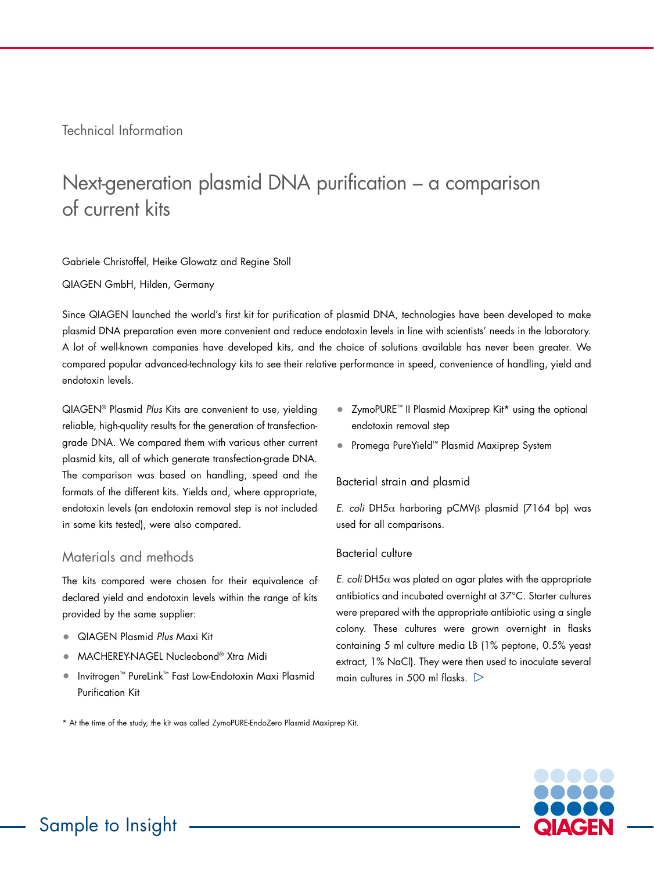Technical Information

# Next-generation plasmid DNA purification – a comparison of current kits

Gabriele Christoffel, Heike Glowatz and Regine Stoll

QIAGEN GmbH, Hilden, Germany

Since QIAGEN launched the world's first kit for purification of plasmid DNA, technologies have been developed to make plasmid DNA preparation even more convenient and reduce endotoxin levels in line with scientists' needs in the laboratory. A lot of well-known companies have developed kits, and the choice of solutions available has never been greater. We compared popular advanced-technology kits to see their relative performance in speed, convenience of handling, yield and endotoxin levels.

QIAGEN® Plasmid *Plus* Kits are convenient to use, yielding reliable, high-quality results for the generation of transfectiongrade DNA. We compared them with various other current plasmid kits, all of which generate transfection-grade DNA. The comparison was based on handling, speed and the formats of the different kits. Yields and, where appropriate, endotoxin levels (an endotoxin removal step is not included in some kits tested), were also compared.

## Materials and methods

The kits compared were chosen for their equivalence of declared yield and endotoxin levels within the range of kits provided by the same supplier:

- QIAGEN Plasmid *Plus* Maxi Kit
- MACHEREY-NAGEL Nucleobond® Xtra Midi
- Invitrogen™ PureLink™ Fast Low-Endotoxin Maxi Plasmid Purification Kit
- ZymoPURE™ II Plasmid Maxiprep Kit\* using the optional endotoxin removal step
- Promega PureYield™ Plasmid Maxiprep System

#### Bacterial strain and plasmid

*E. coli* DH5α harboring pCMVβ plasmid (7164 bp) was used for all comparisons.

#### Bacterial culture

*E. coli* DH5 $\alpha$  was plated on agar plates with the appropriate antibiotics and incubated overnight at 37°C. Starter cultures were prepared with the appropriate antibiotic using a single colony. These cultures were grown overnight in flasks containing 5 ml culture media LB (1% peptone, 0.5% yeast extract, 1% NaCl). They were then used to inoculate several main cultures in 500 ml flasks.  $\triangleright$ 

\* At the time of the study, the kit was called ZymoPURE-EndoZero Plasmid Maxiprep Kit.

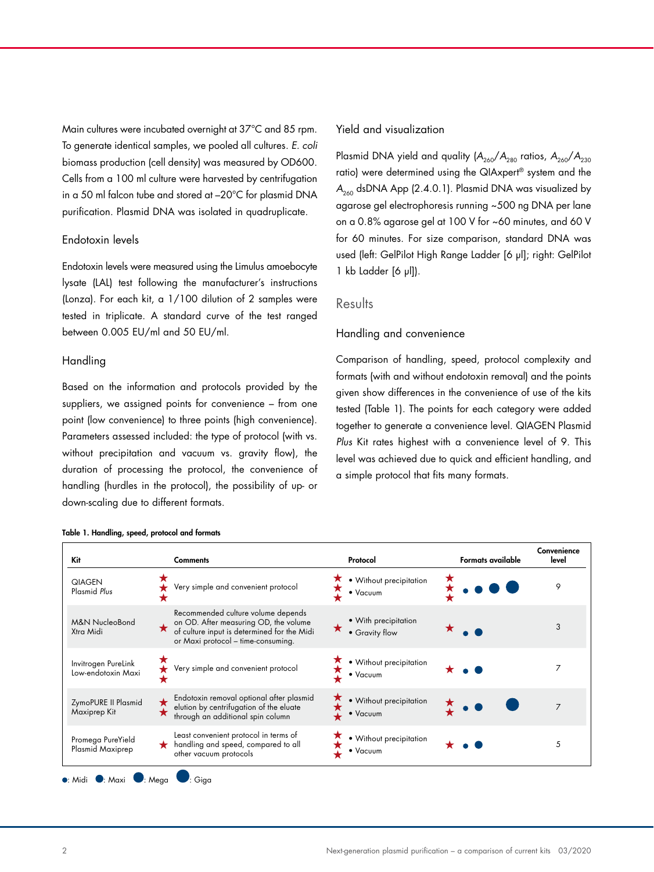Main cultures were incubated overnight at 37°C and 85 rpm. To generate identical samples, we pooled all cultures. *E. coli* biomass production (cell density) was measured by OD600. Cells from a 100 ml culture were harvested by centrifugation in a 50 ml falcon tube and stored at –20°C for plasmid DNA purification. Plasmid DNA was isolated in quadruplicate.

#### Endotoxin levels

Endotoxin levels were measured using the Limulus amoebocyte lysate (LAL) test following the manufacturer's instructions (Lonza). For each kit, a 1/100 dilution of 2 samples were tested in triplicate. A standard curve of the test ranged between 0.005 EU/ml and 50 EU/ml.

#### Handling

Based on the information and protocols provided by the suppliers, we assigned points for convenience – from one point (low convenience) to three points (high convenience). Parameters assessed included: the type of protocol (with vs. without precipitation and vacuum vs. gravity flow), the duration of processing the protocol, the convenience of handling (hurdles in the protocol), the possibility of up- or down-scaling due to different formats.

#### Table 1. Handling, speed, protocol and formats

#### Yield and visualization

Plasmid DNA yield and quality  $(A_{260}/A_{280})$  ratios,  $A_{260}/A_{230}$ ratio) were determined using the QIAxpert® system and the *A*<sub>260</sub> dsDNA App (2.4.0.1). Plasmid DNA was visualized by agarose gel electrophoresis running ~500 ng DNA per lane on a 0.8% agarose gel at 100 V for ~60 minutes, and 60 V for 60 minutes. For size comparison, standard DNA was used (left: GelPilot High Range Ladder [6 µl]; right: GelPilot 1 kb Ladder [6 µl]).

### **Results**

#### Handling and convenience

Comparison of handling, speed, protocol complexity and formats (with and without endotoxin removal) and the points given show differences in the convenience of use of the kits tested (Table 1). The points for each category were added together to generate a convenience level. QIAGEN Plasmid *Plus* Kit rates highest with a convenience level of 9. This level was achieved due to quick and efficient handling, and a simple protocol that fits many formats.

| <b>Comments</b>                                                                                                                                                                | Protocol                               | <b>Formats available</b> | Convenience<br>level |
|--------------------------------------------------------------------------------------------------------------------------------------------------------------------------------|----------------------------------------|--------------------------|----------------------|
| Very simple and convenient protocol                                                                                                                                            | • Without precipitation<br>• Vacuum    |                          | 9                    |
| Recommended culture volume depends<br>on OD. After measuring OD, the volume<br>of culture input is determined for the Midi<br>$\bigstar$<br>or Maxi protocol - time-consuming. | • With precipitation<br>• Gravity flow |                          | 3                    |
| Very simple and convenient protocol                                                                                                                                            | • Without precipitation<br>• Vacuum    |                          | 7                    |
| Endotoxin removal optional after plasmid<br>$\star$<br>elution by centrifugation of the eluate<br>through an additional spin column                                            | · Without precipitation<br>• Vacuum    |                          | $\overline{7}$       |
| Least convenient protocol in terms of<br>handling and speed, compared to all<br>other vacuum protocols                                                                         | • Without precipitation<br>• Vacuum    |                          | 5                    |
|                                                                                                                                                                                |                                        |                          |                      |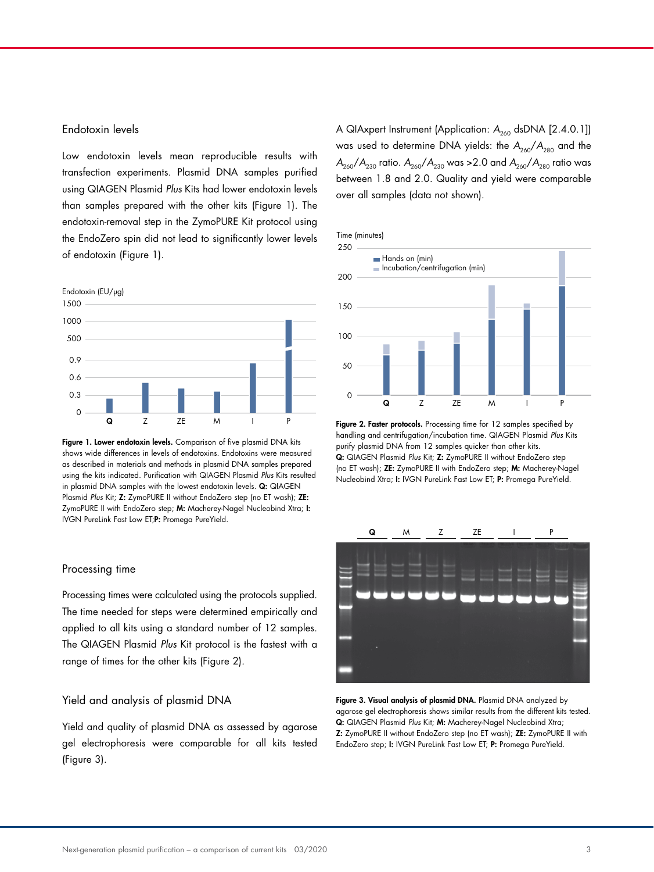#### Endotoxin levels

Low endotoxin levels mean reproducible results with transfection experiments. Plasmid DNA samples purified using QIAGEN Plasmid *Plus* Kits had lower endotoxin levels than samples prepared with the other kits (Figure 1). The endotoxin-removal step in the ZymoPURE Kit protocol using the EndoZero spin did not lead to significantly lower levels of endotoxin (Figure 1).



Figure 1. Lower endotoxin levels. Comparison of five plasmid DNA kits shows wide differences in levels of endotoxins. Endotoxins were measured as described in materials and methods in plasmid DNA samples prepared using the kits indicated. Purification with QIAGEN Plasmid *Plus* Kits resulted in plasmid DNA samples with the lowest endotoxin levels. **Q:** QIAGEN Plasmid *Plus* Kit; Z: ZymoPURE II without EndoZero step (no ET wash); ZE: ZymoPURE II with EndoZero step; M: Macherey-Nagel Nucleobind Xtra; I: IVGN PureLink Fast Low ET;P: Promega PureYield.

#### Processing time

Processing times were calculated using the protocols supplied. The time needed for steps were determined empirically and applied to all kits using a standard number of 12 samples. The QIAGEN Plasmid *Plus* Kit protocol is the fastest with a range of times for the other kits (Figure 2).

#### Yield and analysis of plasmid DNA

Yield and quality of plasmid DNA as assessed by agarose gel electrophoresis were comparable for all kits tested (Figure 3).

A QIAxpert Instrument (Application: A<sub>260</sub> dsDNA [2.4.0.1]) was used to determine DNA yields: the  $A_{260}/A_{280}$  and the  $A_{260}/A_{230}$  ratio.  $A_{260}/A_{230}$  was >2.0 and  $A_{260}/A_{280}$  ratio was between 1.8 and 2.0. Quality and yield were comparable over all samples (data not shown).



Figure 2. Faster protocols. Processing time for 12 samples specified by handling and centrifugation/incubation time. QIAGEN Plasmid *Plus* Kits purify plasmid DNA from 12 samples quicker than other kits. Q: QIAGEN Plasmid *Plus* Kit; Z: ZymoPURE II without EndoZero step (no ET wash); ZE: ZymoPURE II with EndoZero step; M: Macherey-Nagel Nucleobind Xtra; I: IVGN PureLink Fast Low ET; P: Promega PureYield.



Figure 3. Visual analysis of plasmid DNA. Plasmid DNA analyzed by agarose gel electrophoresis shows similar results from the different kits tested. Q: QIAGEN Plasmid *Plus* Kit; M: Macherey-Nagel Nucleobind Xtra; Z: ZymoPURE II without EndoZero step (no ET wash); ZE: ZymoPURE II with EndoZero step; I: IVGN PureLink Fast Low ET; P: Promega PureYield.